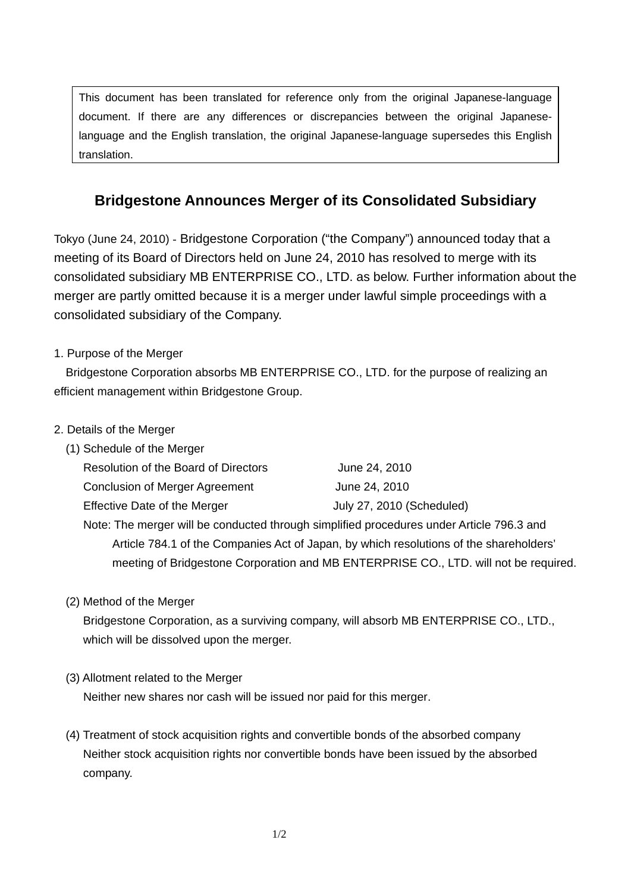This document has been translated for reference only from the original Japanese-language document. If there are any differences or discrepancies between the original Japaneselanguage and the English translation, the original Japanese-language supersedes this English translation.

## **Bridgestone Announces Merger of its Consolidated Subsidiary**

Tokyo (June 24, 2010) - Bridgestone Corporation ("the Company") announced today that a meeting of its Board of Directors held on June 24, 2010 has resolved to merge with its consolidated subsidiary MB ENTERPRISE CO., LTD. as below. Further information about the merger are partly omitted because it is a merger under lawful simple proceedings with a consolidated subsidiary of the Company.

## 1. Purpose of the Merger

 Bridgestone Corporation absorbs MB ENTERPRISE CO., LTD. for the purpose of realizing an efficient management within Bridgestone Group.

## 2. Details of the Merger

(1) Schedule of the Merger

| Resolution of the Board of Directors  | June 24, 2010             |
|---------------------------------------|---------------------------|
| <b>Conclusion of Merger Agreement</b> | June 24, 2010             |
| Effective Date of the Merger          | July 27, 2010 (Scheduled) |

 Note: The merger will be conducted through simplified procedures under Article 796.3 and Article 784.1 of the Companies Act of Japan, by which resolutions of the shareholders' meeting of Bridgestone Corporation and MB ENTERPRISE CO., LTD. will not be required.

## (2) Method of the Merger

 Bridgestone Corporation, as a surviving company, will absorb MB ENTERPRISE CO., LTD., which will be dissolved upon the merger.

(3) Allotment related to the Merger

Neither new shares nor cash will be issued nor paid for this merger.

(4) Treatment of stock acquisition rights and convertible bonds of the absorbed company Neither stock acquisition rights nor convertible bonds have been issued by the absorbed company.